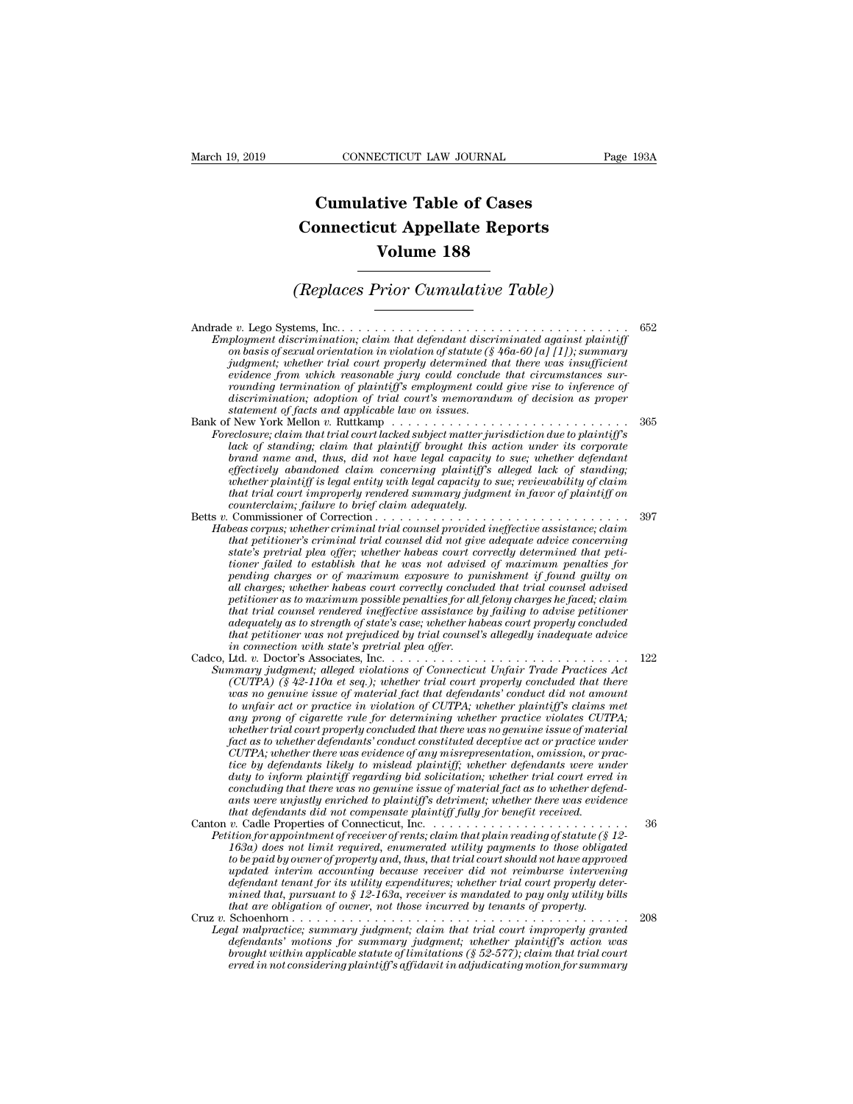## **CONNECTICUT LAW JOURNAL**<br> **Cumulative Table of Cases<br>
pnnecticut Appellate Reports CONNECTICUT LAW JOURNAL** Pag<br> **Cumulative Table of Cases<br>
Connecticut Appellate Reports<br>
Volume 188 ECTICUT LAW JOURNAL**<br> **Volume 188**<br> **Volume 188**<br> **Volume 188**<br> **Prior Cumulative Table) Cumulative Table of Cases<br>
Connecticut Appellate Reports<br>
Volume 188<br>
(Replaces Prior Cumulative Table)**<br>
tems Inc

Andrade *v.* Lego Systems, Inc. . . . . . . . . . . . . . . . . . . . . . . . . . . . . . . . . . . . <sup>652</sup>  $\begin{array}{c} \textbf{(Replace Prior Cumulative Table)}\\ \textbf{Find the 150} \end{array} \begin{bmatrix} \textbf{Example} & \textbf{Example} \\ \textbf{Example} & \textbf{Example} \\ \textbf{Example} & \textbf{Example} \\ \textbf{Example} & \textbf{Example} \\ \textbf{Example} & \textbf{Example} \\ \textbf{Example} & \textbf{Example} \\ \textbf{Example} & \textbf{Example} \\ \textbf{Example} & \textbf{Example} \\ \textbf{Example} & \textbf{Example} \\ \textbf{Example} & \textbf{Example} \\ \textbf{Example} & \textbf{Example} \\ \textbf{Example} & \textbf{Example} \\ \textbf{Example} & \textbf{Example$ *(Replaces Prior Cumulative Table)*<br>  $\overline{\phantom{a}}$ <br> *ployment discrimination; claim that defendant discriminated against plaintiff*<br> *on basis of sexual orientation in violation of statute (§ 46a-60 [a] [1]); summary*<br> *ind (Replaces Prior Cumulative Table)*<br>  $\blacksquare$ <br> *ployment discrimination; claim that defendant discriminated against plaintiff*<br> *on basis of sexual orientation in violation of statute (\$ 46a-60 [a] [1]); summary*<br> *judgment evidence from which reasonable jury could conclude that circumstances surr* Ultrace Systems, Inc.<br> *rounding the component discrimination; claim that defendant discriminated against plaintiff*<br> *on basis of sexual orientation in violation of statute (§ 46a-60 [a] [1]); summary*<br> *judgment; whe discrimination; adoption of trial court's memorandum of decision as proper statement discrimination; claim that defendant discrimination in violation of statute (§ on basis of sexual oriential court properly determined the judgment; whether trial court properly determined the violation of plaint* Employment discrimination; claim that defendant discriminated against plainty<br>on basis of sexual orientation in violation of statute (§ 46a-60 [a] [1]); summary<br>judgment; whether trial court properly determined that there *Foreclosure; claim that trial court properly determined that there was insufficient*<br>evidence from which reasonable jury could conclude that circumstances sur-<br>rounding termination of plaintiff's employment could give ris *lack of standing; claim that ourt property determined that there was insufficient*<br>evidence from which reasonable jury could conclude that circumstances sur-<br>rounding termination, adoption of plaintiff's employment could

- *become from which reasonable jury could conclude that circumstances sur-*<br>*basiscrimination*; adoption of trial court's memorandum of decision as proper<br>discrimination; doption of trial court's memorandum of decision as p *rounding termination of plaintiff's employment could give rise to inference of*<br>discrimination; adoption of trial court's memorandum of decision as proper<br>statement of facts and applicable law on issues.<br>Felow York Mellon *whether plaintiff is legal entity with legal capacity to sue; reviewability of claim that trial court improperly rendered summary judgment in favor of plaintiff on* From York Mellon v. Ruttkamp<br> *colosure; claim that trial court lacked subject matter ju*<br> *clack of standing; claim that plaintiff brought this is*<br> *dorad name and, thus, did not have legal capacity*<br> *effectively abando* Forectosure; claim that trial court lacked subject matter jurisation due to planntiff s<br>lack of standing; claim that planntiff brought this action under its corporate<br>brand name and, thus, did not have legal capacity to su *Hack of standing; claim that plaintiff brought this action under its corporate*<br> *brand name and, thus, did not have legal capacity to sue; whether defendant*<br> *effectively abandoned claim concerning plaintiff's alleged l brand name and, thus, dad not have legal capacity to sue; whether defendant*<br>effectively abandoned claim concerning plaintiff's alleged lack of standing;<br>whether plaintiff is legal entity with legal capacity to sue; revie
- effectively abandoned claim concerning plaintiff's alleged lack of standing;<br>whether plaintiff is legal entity with legal capacity to sue; reviewability of claim<br>that trial court improperly rendered summary judgment in fav *the time plantity is legal entity with legal capacity to sue; reviewability of claim*<br>that trial court improperly rendered summary judgment in favor of plaintiff on<br>counterclaim; failure to brief claim adequately.<br>Commiss *pending charges or of maximum exposure to punishment if found guilty on all charges; whether habeas court correctly concluded that trial counsel advised petitioner as to maximum possible penalties for all felony charges he faced; claim that petitioner's criminal trial counsel provided ineffective assistance; claim*<br>that petitioner's criminal trial counsel did not give adequate advice concerning<br>istate's pretrial plea offer; whether habeas court correctl *that petitioner's criminal trial counsel did not give adequate advice concerning state's pretrial plea offer; whether habeas court correctly determined that peti-<br>tioner failed to establish that he was not advised of maxi thate's pretrial plea offer; whether habeas court correctly determined that petitioner failed to establish that he was not advised of maximum penalties for all charges or of maximum exposure to punishment if found guilty ioner fauled to establish that he was not advised pending charges or of maximum exposure to pu*<br>*ill charges, whether habeas court correctly concluded*<br>*petitioner as to maximum possible penalties for all*<br>*that trial cou* pending charges or of maximum exposure to punishment if Jound guitty on<br>all charges; whether habeas court correctly concluded that trial counsel advised<br>petitioner as to maximum possible penalties for all felony charges he all charges; whether habeas court correctly concluded that trial counsel advised<br>petitioner as to maximum possible penalties for all felony charges he faced; claim<br>that trial counsel rendered ineffective assistance by fail petitioner as to maximum possible penalties for all felony charges he faced; claim<br>that trial coursel rendered ineffective assistance by failing to advise petitioner<br>adequately as to strength of state's case; whether habea
- *that trual counsel rendered metjective assistance by jailing to advise petitioner*<br>*adequately as to strength of state's case; whether habeas court properly concluded<br>that petitioner was not prejudiced by trial counsel's daequately as to strength of state's case; whether habeas court property concluded*<br>that petitioner was not prejudiced by trial counsel's allegedly inadequate advice<br>in connection with state's pretrial plac offer.<br>Ltd. v. *any prong of cigarette rule for determining whether practice violates CUTPA; whether trial court properly concluded that there was no genuine issue of material fact as to whether defendants' conduct constituted deceptive act or practice under CUTPA)* (§ 42-110a et seq.); whether trial court properly concluded that there was no genuine issue of material fact that defendants' conduct di not anount to unfair act or practice in violation of CUTPA; whether plaintif *(CUTPA)* (§ 42-110a et seq.); whether trial court property concluded that there was no genuine issue of material fact that defendants' conduct did not amount to unfair act or practice in violation of CUTPA; whether plain *duas no genume ussue of material fact that defendants' conduct did not amount* to unfair act or practice in violation of CUTPA; whether plaintiff's claims met any prong of cigarette rule for determining whether priactice *compair act or practice in violation of CUTPA; whether plaintiff's claims metally prong of cigarette rule for determining whether practice violates CUTPA; whether trial court properly concluded that there was no genuine i* any prong of cugarette rule for determining whether practice violates CUTPA;<br>whether trial court properly concluded that there was no genuine issue of material<br>fact as to whether defendants' conduct constituted deceptive a *that the trade court property concluded that there was no genume issue of mates* fact as to whether defendants' conduct constituted deceptive act or practice un  $CUTA$ ; whether there was evidence of any misrepresentation, det as to whether defendants' conduct constituted deceptive act or practice under<br>CUTPA; whether there was evidence of any misrepresentation, omission, or prac-<br>tice by defendants likely to mislead plaintiff; whether defen *CUTPA; whether there was evidence of any misrepresentation, omission, or practice by defendants likely to mislead plaintiff; whether defendants were under duty to inform plaintiff regarding bid solicitation; whether trial 1638* defendants likely to mislead plaintiff; whether defendants were under<br> *duty* to inform plaintiff regarding bid solicitation; whether trial court erred in<br>
concluding that there was no genuine issue of material fact
- *to the payarity regarding bid solicitation; whether trial court erred in*<br>concluding that there was no genuine issue of material fact as to whether defendants<br>ants were unjustly enriched to plaintiff's detriment; whether *concluaing that there was no genuine issue of material jact as to whether defendants were unjustly enriched to plaintiff's detriment; whether there was evidence that defendants did not compensate plaintif fully for benefi* ants were unjustly enriched to plaintiff's detriment; whether there was evidence<br>
that defendants did not compensate plaintiff fully for benefit received.<br>  $v$ . Cadle Properties of Connecticut, Inc.<br>  $\ldots$ ................. *mined that, pursuant to § 12-163a, receiver is mandated to pay only utility bills that are obligation of owner, not those incurred by tenants of property.* Petition for appointment of receiver of rents; claim that plain reading of statute (s 12-163a) does not limit required, enumerated utility payments to those obligated<br>to be paid by owner of property and, thus, that trial c *Legal malpractice; summary judgment; claim that trial court should not have approved* updated interim accounting because receiver did not reimburse intervening defendant tenant for its utility expenditures; whether trial *defendants' motions for summary judgment; when the summary indeed interim accounting because receiver did not reimburse intervening defendant tenant for its utility expenditures; whether trial court property determined th*
- *brought within accounting because receiver and not reimburse intervening*<br>the minimal that, pursuant to § 12-163a, receiver is mandated to pay only utility bills<br>that are obligation of owner, not those incurred by tenants *erred in not considering plaintiff's affidavit in adjudicating motion for considering planning planning planning planning planning planning planning planning planning and defendants and more dependent in the dependent in*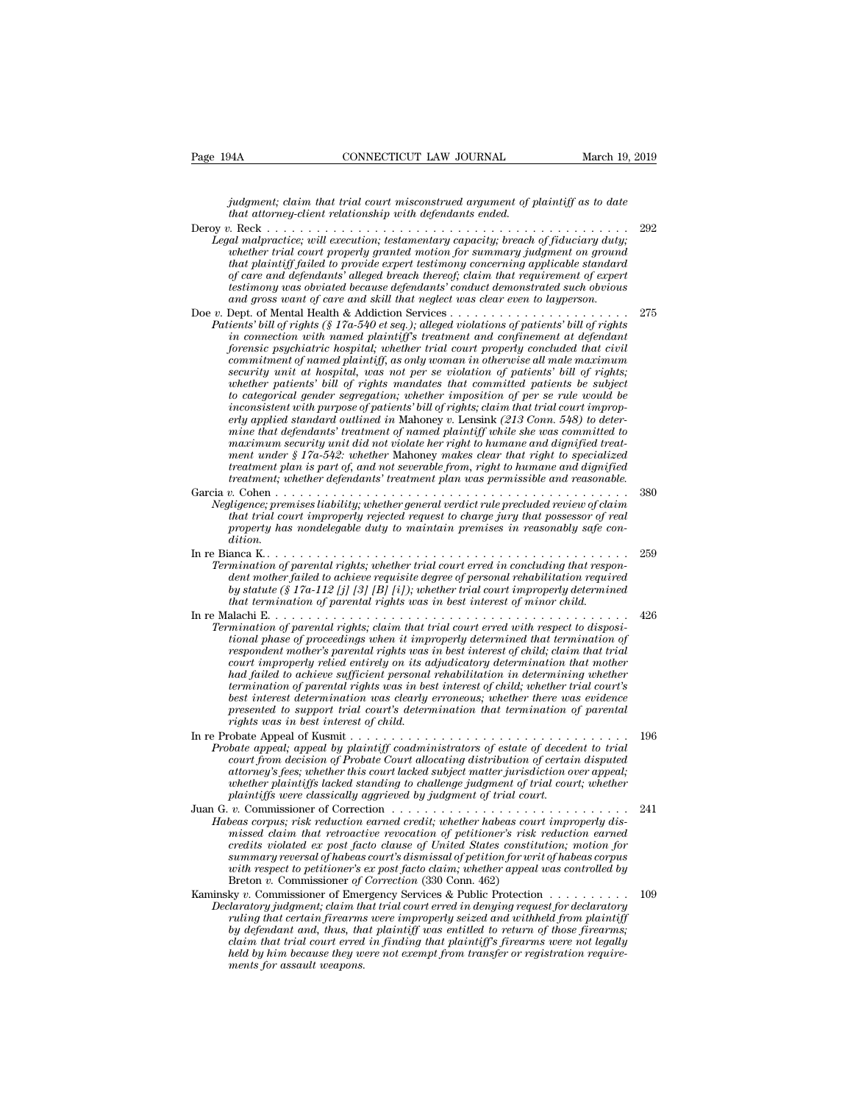*James CONNECTICUT LAW JOURNAL* March 19, 2019<br>*judgment; claim that trial court misconstrued argument of plaintiff as to date*<br>*that attorney-client relationship with defendants ended. that that trial court misconstrued argument of p*<br> *that attorney-client relationship with defendants ended.*<br> *that attorney-client relationship with defendants ended.*<br> *that arguments is a construer in the client of th* 

Page 194A CONNECTICUT LAW JOURNAL March 19, 2019<br> *judgment*; claim that trial court misconstrued argument of plaintiff as to date<br>
that attorney-client relationship with defendants ended.<br>
Deroy v. Reck . . . . . . . . . *Legal malpractice; will execution; testamentary capacity; breach of plaintiff as to date*<br>that attorney-client relationship with defendants ended.<br>Degal malpractice; will execution; testamentary capacity; breach of fiduci *whether trial court misconstrued argument of plaintiff as to date* that attorney-client relationship with defendants ended.<br> *whether trial court motering for summary capacity; breach of fiduciary duty;*<br>
whether trial co *that plaintiff failed to provide expert testimony concerning applicable standard of care and the care and term is construed argument of plaintiff as to date*<br> *of that attorney-client relationship with defendants ended.*<br> *of cack care and malpractice; will execution; testamentary capacity; breach of testimony was obviated because defendants' conduct demonstrated such obvious and gross want of care and skill that neglect was clear even to layperson.* Legal malpractice; will execution; testamentary capacity; breach of fiduciary duty;<br>whether trial court properly granted motion for summary judgment on ground<br>that plaintiff failed to provide expert testimony concerning ap *Patients, wat execution, issued motion for summary youth of patients of patient properly granted motion for summary judgment on ground that plaintiff failed to provide expert testimony concerning applicable standard of ca indiant in tu contriprenty grundarmoning toncerning applicable standard*<br> *intat plaintiff failed to provide expert testimony concerning applicable standard*<br> *of care and defendants' alleged breach thereof; claim that re forensic paralyone is provide expert essiming concerning applications standard*<br>testimony was obviated because defendants' conduct demonstrated such obvious<br>and gross want of care and skill that neglect was clear even to *commitment of name determines and great of name in the committed such obvious* and gross want of care and skill that neglect was clear even to layperson.<br>
Dept. of Mental Health & Addiction Services . . . . . . . . . . . *sestimony was obvided because defendants conduct demonstrated such dovious* and gross want of care and skill that neglect was clear even to layperson.<br>Dept. of Mental Health & Addiction Services . . . . . . . . . . . . . *whether patients' bill of rights mandates that committed patients be subject to categorical gender segregation; whether imposition of per se rule would be ients' bill of rights (§ 17a-540 et seq.); alleged violations of patients' bill of rights<br>in connection with named plaintiff's treatment and confinement at defendant<br>forensic psychiatric hospital; whether trial court prop erly connection with named plaintiff's treatment and confinement at defendant<br>forensic psychiatric hospital; whether trial court properly concluded that civil<br>commitment of named plaintiff, as only woman in otherwise all forensic psychiatric hospital; whether trial court property concluded that civit*<br> *commitment of named plaintiff, as only woman in otherwise all male maximum*<br> *security unit at hospital, was not per se violation of pati commitment of named plaintiff, as only woman in otherwise all male maximum*<br>*security unit at hospital, was not per se violation of patients' bill of rights;*<br>*whether patients' bill of rights mandates that committed pati menty unit at hospital, was not per se violation of patients' bill of rights,* whether patients' bill of rights mandates that committed patients be subject to categorial gender segregation; whether imposition of per se ru *the mether pattents' bill of rights mandates that committed pattents be subject* to categorical gender segregation; whether imposition of per se rule would be inconsistent with purpose of patients' bill of rights; claim t *to categorical gender segregation; whether imposition of per se rule would be inconsistent with purpose of patients' bill of rights; claim that trial court improperly applied standard outlined in Mahney v. Lensink (213 Co* For a symple of the propose of particular and of rights, calumn and court improper<br>
erly applied standard outlined in Mahoney v. Lensink (213 Com. 548) to deter-<br>
mine that defendants' treatment of named plaintiff while sh *Negligence; premises liability; whether defendants Negligence; premise that defendants' treatment of named plaintiff while she was committed to maximum security unit did not violate her right to humane and dignified tre that trial coeralists retunent of namea parality white sine was commutated to*<br>meanimarina security unit did not violate her right to humane and dignified treat-<br>ment under § 17a-542: whether Nahoney makes clear that righ *property and the interprety and the two-condensity and the two-maint under § 17a-542: whether Mahoney makes clear that right to specialized treatment plan is part of, and not severable from, right to humane and dignified dition.* In re Bianca K. . . . . . . . . . . . . . . . . . . . . . . . . . . . . . . . . . . . . . . . . . . . . <sup>259</sup> *Termination of parental rights; whether trial court erred in concluding that rights; whether general verticit rule precluded review of claim that trial court improperly rejected request to charge jury that possessor of re dentified to achieve in the interesting mother general verticial reprecided review of claim*<br> *diagnone; premises liability; whether general verdict rule precided review of claim*<br> *dhat trial court improperly rejected re by statute, premises tubutty, whether general vertict rule precided review by claim*<br>*batt trial court improperly rejected request to charge jury that possessor of real<br><i>property has nondelegable duty to maintain premises Termination of parental rights; whether trial court erred in concluding that respondent mother failed to achieve requisite degree of personal rehabilitation required by statute (§ 17a-112 [j] [3] [B] [i]); whether trial c* In re Malachi E. . . . . . . . . . . . . . . . . . . . . . . . . . . . . . . . . . . . . . . . . . . . <sup>426</sup> *Termination of parental rights; whether trial court erred in concluding that respondent mother failed to achieve requisite degree of personal rehabilitation required by statute (§ 17a-112 [j] [3] [8] [i]); whether trial c tional phase of proceedings when it improperly determined that termination of respondent mother failed to achieve requisite degree of personal rehabilitation respondent mother failed to achieve requisite degree of personal rehabilitation required by statute (§ 17a-112 [j] [3] [8] [i]); whether tria court improperly relied to uchable requirely in the trial court improperly determined*<br> *chy statute* (§ 17a-112 [*j]* [3*]* [B] [4]); whether trial court improperly determined<br>
that termination of parental rights was in *had failed to achieve sufficient personal rehabilitation in determining whether termination of parental rights was in best interest of child; whether trial court's best interest determination was clearly erroneous; whether there was evidence mination of parental rights; claim that trial court erred with respect to atspositional phase of proceedings when it improperly determined that termination of respondent mother's parental rights was in best interest of ch rights when it improperational phase of proceedings when it improperations court improperational had failed to achieve sufficient personal termination of parental rights was in best interest determination was clearly opre* Formular moders in the paralling was to use the resolution of the court improperly relied entirely on its adjudicatory determination that mother had failed to achieve sufficient personal rehabilitation in determining whet *Probate appealing permistrators of an interminion and failed to achieve sufficient personal relabilitation in determination dipleter termination of parental rights was in best interest of child; whether trial court's best court is courted supprement personal renoncertation of a courter suppremental rights was in best interest of child; whether there was evidence* presented to support trial court's determination that termination of parental *attraction of parental rights was thest interest of child, whether that court's*<br>best interest determination was clearly erroneous; whether there was evidence<br>presented to support trial court's determination that terminat *wherest accertation was ceality erroleous, whether there was evidence presented to support trial court's determination that termination of parental rights was in best interest of child.*<br> *whete Appeal of Kusmit* . . . . *plaintiffs were classically aggrieved by judgment of trial court.* Juan G. *v.* Commissioner of Correction . . . . . . . . . . . . . . . . . . . . . . . . . . . . . <sup>241</sup> *Habeas corpus; risk reduction earned credit; whether habeas court improperly dismissed claim the peara by phantagive countrivations of estable of decream to traditionery spees; whether this court lacked subject matter jurisdiction over appeal; whether plaintiffs lacked standing to challenge judgment court from tects con of Prooute Court duodating distribution of certain aspace,<br>attorney's fees; whether this court lacked subject matter jurisdiction over appeal;<br>whether plaintiffs lacked standing to challenge judgment summary syess, uneur uns court alused subject matter jarisaliction over appear, whether plaintiffs lacked standing to challeng judgment of trial court; whether plaintiffs were classically aggrieved by judgment of trial co with respect to petitioner's ex post facto claim; whether appeal was controlled by* plaintiffs were classically aggrieved by judgment of trial court.<br>
Juan G. v. Commissioner of Correction<br> *Habeas corpus; risk reduction earned credit; whether habeas court improperly dis-*<br> *missed claim that retroactive* Habeas corpus; risk reduction earned credit; whether habeas court improperly dis-<br>missed claim that retroactive revocation of petitioner's risk reduction earned<br>credits violated ex post facto clause of United States consti *Declaratory is, tractatory* entertaints erred in density where *incluses* court improperly as-<br>missed claim that retroactive revocation of petitioner's risk reduction erred<br>credits violated ex post facto clause of United *rulissed cutum that renoutive revolution by pertinioners risk reduction earned* and starting in that credits violated ex-post facto clause of United States constitution; motion for summary reversal of habeas court's dismi *by defendant and, thus, that plaintiff was entitled states constitution, motion for a summary reversal of pabeas corris dismissed of petition for writ of habeas corpus with respect to petitioner's ex post facto claim, whe court is precelved to provided court is a comines and in petution, pertion in the respect to pertioner's ex post facto claim; whether appeal was controlled by with respect to pertioner's expost facto claim; whether appeal held by him because is at post judio* claim, whenever appear and controlled by  $v$ . Commissioner of Correction (330 Conn. 462)  $\lambda$  by  $v$ . Commissioner of Emergency Services & Public Protection  $\ldots$ ,.................... **Example 18 All Schools For an Example 18 All Schools for a state of a star in the product of a star in the product weapons.**<br>*muling that certain firearms* **by defendant and, thus, the claim that trial court erred held by**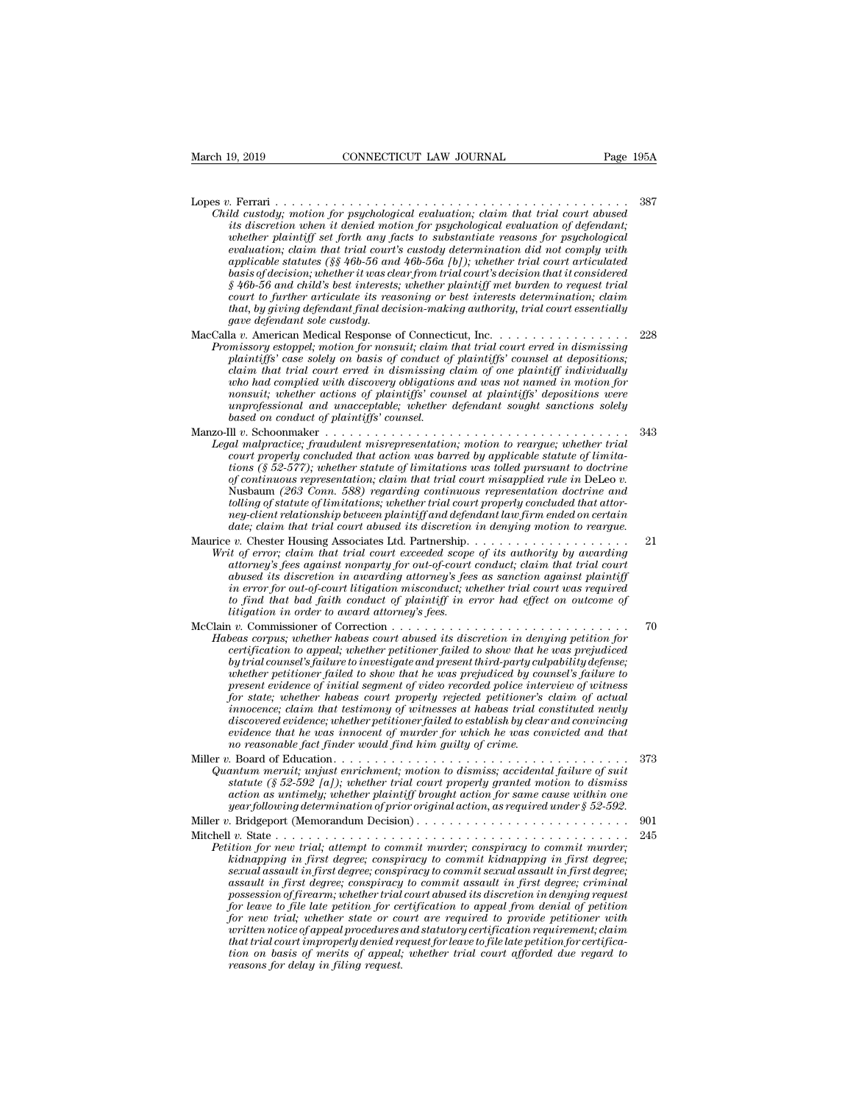- Lopes *v.* Ferrari . . . . . . . . . . . . . . . . . . . . . . . . . . . . . . . . . . . . . . . . . . . <sup>387</sup> *CONNECTICUT LAW JOURNAL*<br> *Page 195A*<br> *Child custody; motion for psychological evaluation; claim that trial court abused<br>
its discretion when it denied motion for psychological evaluation of defendant;<br>
whether plaintiff its discretion when it denied motion for psychological evaluation of defendant; whether whether whether plaintiff set forth any facts to substantiate reasons in the custody; motion for psychological evaluation; claim that trial court abused its discretion when it denied motion for psychological evalu evaluation; claim that trial court's custody determination did not comply with applicable statutes (§§ 46b-56 and 46b-56a [b]); whether trial court articulated basis of decision; whereas is energy the decision; claim that trial court abused* that discretion when it denied motion for psychological evaluation of defendant; whether plaintiff set forth any facts to substantiate reas *§ 46b-56 and child custody; wortion for psychological evaluation; claim that trial court abused* is discretion when it denied motion for psychological evaluation of defendant; whether plaintiff set forth any facts to subs *castody; motion for psychological evaluation; claim that trial court abused* its discretion when it denied motion for psychological evaluation of defendant; whether plaintiff set forth any facts to substantiate reasons fo *ths discretion when it denied motion for psychological evaluation of defendant;*<br>whether plaintiff set forth any facts to substantiate reasons for psychological<br>evaluation; claim that trial court's custody determination d *geneure planntyf set forth any fa*<br> *gapplicable statutes (§§ 46b-56 analyticable statutes (§§ 46b-56 and child's best interests<br>
basis of decision; whether it was cle<br>
§ 46b-56 and child's best interests<br>
court to furthe* explicable statutes (§§ 46b-56 and 46b-56a [b]); whether trial court articulated<br>applicable statutes (§§ 46b-56 and 46b-56a [b]); whether trial court articulated<br>basis of decision; whether it was clear from trial court's d *Promissof estatues (sy 400-50 und 400-500 [0]], whener true court a transmistant basis of decision; whether it was dear from trial court's decision that it considered*  $\frac{1}{2}$  *46b-56 and child's best interests; whether p plaintiffs'* case *plaintiffs'* case solely on basis of conductries solely and child's best interests; whether plaintiff met burden to request trial court to further articulate its reasoning or best interests determinatio
- *court to further articulate its reass, we<br>eart to further articulate its reasoning or best interests determination; claim<br>that, by giving defendant final decision-making authority, trial court essentially<br>gave defendant s who juring defendant final decision-making authority, trial court essentially date defendant sole custody.*<br> *gave defendant sole custody.*<br> *a v.* American Medical Response of Connecticut, Inc. . . . . . . . . . . . . . *nonsuit; whether actions of plaintiffs' counsel at plaintiffs' depositions were unprofessional and unacceptable; whether defendant sought sanctions solely based on consult; whether actions of plaintiffs' counsel at plaintiffs' depositions were unprofessional and unacceptable; whether defendant sought sanctions solely based on conduct of plaintiffs' counsel.*<br>Manzo-Ill v. Sc plaintiffs' case solely on basis of conduct of plaintiffs' counsel at depositions;<br>claim that trial court erred in dismissing claim of one plaintiff individually<br>who had complied with discovery obligations and was not name who had complied with discovery obligations and was not named in motion for
- *Legal malpractice; fraudulent misrepresentation; motion to reargue; whether trial tion inat completa wat associes posity outgottoms and was nonsuit; whether actions of plaintiffs' counsel at plaintiffs' depositions were unprofessional and unacceptable; whether defendant sought sanctions solely based on of continuous of plaintigs* continuous representation; continuous representation; conduct of plaintigfs' coursel.<br>
and malpractice; fraudulent misrepresentation; motion to reargue; whether trial<br>
court properly concluded *tolling to the commaker and matter of puttality courset.*<br> *tolling the Schoomaker and malyncities, fraudulent misrepresentation; motion to reargue; whether trial<br>
court properly concluded that action was barred by applic* II v. Schoonmaker<br> *new-clientient misrepresentation, motion to reargue, whether trial*<br> *newart properly concluded that action was barred by applicable statute of limita-<br>
court properly concluded that action was barred b dat matpractice; fraudulent misrepresentation; motion to reargue; whether trial court properly concluded that action was barred by applicable statute of limitations (§ 52-577); whether statute of limitations was tolled pu* From the present contained that action and action and actions (§ 5.2-577), whether statute of limitations was tolled pursuant to doctrine of continuous representation, claim that trial court misapplied rule in DeLeo v. Nus *Write S. 32-311), whether statute of thriations was total pursually to discretion of continuous representation; claim that trial court misapplied rule in DeLeo v.*<br>Nusbaum (263 Conn. 588) regarding continuous representati
- *attroney contributions, representation, calimate tract court missippled rate in the trial conduing of statute of limitations, whether trial court properly concluded that attorney-client relationship between plaintiff and abused in (250 Conditions; whether trial court properly concluded that attor-*<br>*abused is discretionship between plaintiff* and defendant law firm ended on certain<br>*date; claim that trial court abused its discretion in de ioning of statute of thriationship between plaintiff and defendant law firm ended on certain*<br>*date; claim that trial court abused its discretion in denying contained in certain*<br>*date; claim that trial court abused its d to find that bad faith conduct of plaintiff in error had effect claim that trial court abused its discretion in denying motion to reargue.*<br> *to t* chester Housing Associates Ltd. Partnership. . . . . . . . . . . . . . *litigation in the colority and the colority of the colority of the ferror; claim that irial court axceled scope attorney's fees against nonparty for out-of-court abused its discretion in awarding attorney's fees.*<br>*litiga* Write of error; claim that trial court exceeded scope of its authority by avarding<br>
write of error; claim that trial court exceeded scope of its authority by avarding<br>
attorney's fees against nonparty for out-of-court cond *Habeas corpus; whether habeas court abused is discretion in avarating of usual time trial court abused its discretion in awarding attorney's fees as sanction against plaintiff in error for out-of-court litigation miscondu*
- *choused its discretion in awarding attorney's fees as saction against plantiff*<br>*in error for out-of-court litigation misconduct; whether trial court was required*<br>*to find that bad faith conduct of plaintiff in error had by the interior in tractinity dimension and the interior in error for out-of-court litigation misconduct; whether trial court was required*<br>to find that bad faith conduct of plaintiff in error had effect on outcome of<br>lit *whether petitioner failed to show that he was prejudiced by counsel's failure to present evidence of initial segment of planning in error nad eyect on outcome of*<br>integration in order to award attorney's fees.<br> $p.e.$  Commissioner of Correction  $\dots$ ,  $\dots$ ,  $\dots$ ,  $\dots$ ,  $\dots$ ,  $\dots$ ,  $\dots$ ,  $\dots$ ,  $\dots$ ,  $\dots$ , *for state; whether habeas court attorney's jees.*<br> *for states corpus; whether habeas court abused its discretion in denying petition for*<br> *forest corpus; whether habeas court properly rejected to show that he was prejud innocence; claim that testimony of witnesses at habeas trial constituted newly discorpus; whether habeas court abused its discretion in denying petition for* certification to appeal; whether petitioner failed to show that he was prejudiced with a whether petitioner failed to show that he was prejudi *certy cation to appeal; whether petitioner jailed to show that he was prejudiced*<br>by trial counsel's failure to investigate and present third-party culpability defense;<br>whether petitioner failed to show that he was prejud *by trad counsel's failure to mvestigate and present third-party culible whether petitioner failed to show that he was prejudiced by convergent evidence of initial segment of video recorded police interform for state; whet* Figure Figure 1, when the was present evidence of initial segment of video recorded police interview of witness<br>for state; whether habeas court properly rejected petitioner's claim of actual<br>innocence; claim that testimony *Present evidence of intuits egneative of the cuarrierative in the signed point in that testimony of witnesses at habeas trial constituted newly discovered evidence; whether petitioner failed to establish by clear and conv*

| jor saat, amether nabeas court property rejected petitioners callin of actual<br><i>innocence; claim that testimony of witnesses at habeas trial constituted newly</i><br>discovered evidence: whether petitioner failed to establish by clear and convincing<br>evidence that he was innocent of murder for which he was convicted and that<br>no reasonable fact finder would find him quilty of crime.                        |      |
|----------------------------------------------------------------------------------------------------------------------------------------------------------------------------------------------------------------------------------------------------------------------------------------------------------------------------------------------------------------------------------------------------------------------------------|------|
| Quantum meruit; unjust enrichment; motion to dismiss; accidental failure of suit<br>statute (§ 52-592 [a]); whether trial court properly granted motion to dismiss<br>action as untimely; whether plaintiff brought action for same cause within one<br>year following determination of prior original action, as required under $\S 52$ -592.                                                                                   | 373  |
|                                                                                                                                                                                                                                                                                                                                                                                                                                  | 901  |
| Petition for new trial; attempt to commit murder; conspiracy to commit murder;<br>kidnapping in first degree; conspiracy to commit kidnapping in first degree;<br>sexual assault in first degree; conspiracy to commit sexual assault in first degree;<br>assault in first degree; conspiracy to commit assault in first degree; criminal<br>nossession of firearm: whether trial court abused its discretion in denying request | -245 |

*assault in first degree; conspiracy to commit assault in first degree;*<br>assault in for new trial; attempt to commit murder; conspiracy to commit murder;<br>attion for new trial; attempt to commit murder; conspiracy to commit *Possession of firearm; whether trial court are required in multiplying the fittion for new trial; attempt to commit murder; conspiracy to commit murder; kidnapping in first degree; conspiracy to commit kidnapping in firs for learning to file late interesting to file late to file late in the sistem for the fittion for new trial; attempt to commit murder; conspiracy to commit kidnapping in first degree; sexual assault in first degree; consp for new trial; whether state or court are required to provide petitioner with where the indige in first degree; conspiracy to commit murder; kidnapping in first degree; sexual assault in first degree; conspiracy to commit sexual assault in first degree; conspiracy to commit sexual is a first degree kadnapping in first degree; conspiracy to commit kidnapping in first degree;*<br>*sexual assault in first degree; conspiracy to commit sexual assault in first degree;*<br>*assault in first degree; conspiracy to commit assault i sexual assault in first degree; conspiracy to commit sexual assault in first degree; assault in first degree; conspiracy to commit assault in first degree; criminal possession of firearm; whether trial court abused its di* assault in first degree; conspiracy to commit assault in first degree; criminal possession of firearm; whether trial court abused its discretion in denying request for leave to file late petition for certification to appea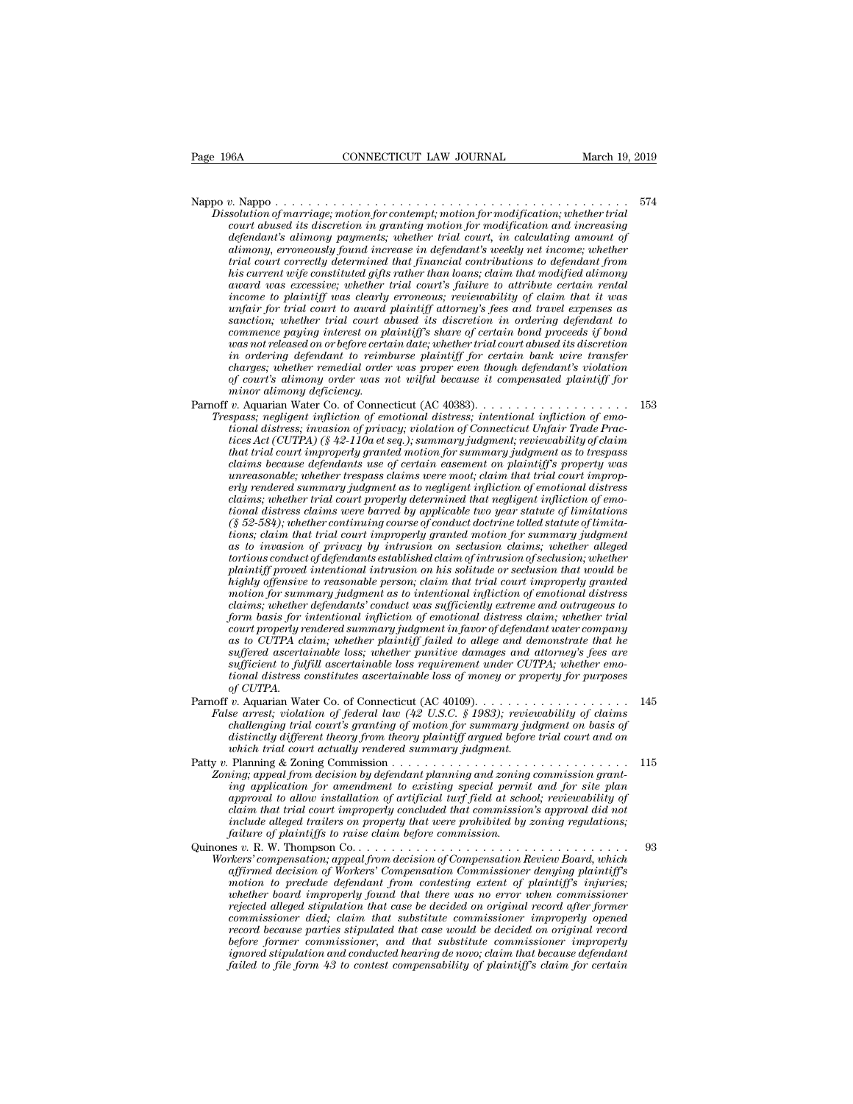Nappo *<sup>v</sup>*. Nappo . . . . . . . . . . . . . . . . . . . . . . . . . . . . . . . . . . . . . . . . . . . <sup>574</sup> *Physical CONNECTICUT LAW JOURNAL March 19, 2019*<br> *Dissolution of marriage; motion for contempt; motion for modification; whether trial*<br> *Court abused its discretion in granting motion for modification and increasing<br>
de connecticut LAW JOURNAL* March 19, 2019<br> *court abused its discretion for contempt; motion for modification; whether trial*<br> *court abused its discretion in granting motion for modification and increasing*<br> *digindant's a defferences* and *defendant defendant defendant defendant's alimony payments; whether trial court abused its discretion in granting motion for modification; whether trial court abused its discretion in granting moti alimong compoonstration in the increase in the increase in the increase in the court abused its discretion in granting motion for modification, whether trial court abused its discretion in granting motion for modification trial court correctly determined that financial contributions to defendant from his current wife constituted gifts rather than loans; claim that modified alimony a* award was excessive; motion for contempt; motion for modification; whether trial court abused its discretion in granting motion for modification and increasing defendant's alimony payments; whether trial court, in calc *isolution of marriage; motion for contempt; motion for modification ; whether trad* court abused its discretion in granting motion for modification and increasing defendant's ulimony payments; whether trial court, in calc *court abused its discretion in granting motion for modification and increasing defendant's alimony payments; whether trial court, in calculating amount of alimony, erroneously found increase in defendant's weekly net inco defendant's altmony payments; whether trial court, in calculating amount of*<br>alimony, erroneously found increase in defendant's weekly net income; whether<br>trial court correctly determined that financial contributions to d atimony, erroneously jound increase in defendant's weekly net income; whether<br>trial court correctly determined that financial contributions to defendant from<br>his current wife constituted gifts rather than loans; claim that *was court correctly determined that financial contributions to defendant from*<br>his current wife constituted gifts rather than loans; claim that modified alimony<br>award was excessive; whether trial court's failure to attrib *his current wife constituted gifts rather than loans; claim that modified alimony* award was excessive; whether trial court's failure to attribute certain rental income to plaintiff was clearly erromeous; reviewability of *charges* and was excessive; whether trial court's jailure to attribute certain rental<br>income to plaintiff was clearly erroneous; reviewability of claim that it was<br>unfair for trial court to award plaintiff attorney's fees *of courtantly was clearly erroneous; reviewability of claim that it was* unfair for trial court to award plaintiff attorney's fees and travel expenses as sanction; whether trial court abused its discretion in ordering de *mindar for trad court to award gametion; whether trial court as commence paying interest on planet commence paying interest on planet charges; whether remedial order of court's alimony order was numinor alimony deficiency* Faction, whener trial court about als active the commence paramition commence paramition of constrained was not released on or before certain date; whether trial court abused its discretion in ordering defendant to reimbur *Trespass; negligent infliction of emotional distression or before certain det; whether trial court abused its discretion in ordering defendant to reimburse plaintiff for certain bank wire transfer charges; whether remedia tional distressing defendant to reinburse plainiff for certain date, whether trude count doused its atscretion<br>charges; whether remedial order was proper even though defendant's violation<br>of court's alimony order was not* 

*the ordering defendant to rethinourse platitugf for certain dank wire transfer*<br>charges; whether remedial order was proper even though defendant's violation<br>of court's alimony order was not wilful because it compensated p *that trial court's altmony order was properly even modyn as to trial for court's altmony deficiency*<br> *of court's altmony deficiency*<br> *minor alimony deficiency*<br> *v.* Aquarian Water Co. of Connecticut (AC 40383). . . . . *court s attmong order was not withit because it compensated plaintiffy primary deferency.*<br> *chaims because defending defendants property spaces; relations is pagas; regligent infliction of emotional distress; intentional u*. Aquarian Water Co. of Connecticut (AC 40383).<br> *understand Water Co. of Connecticut (AC 40383).*<br> *understand infliction of emotional distress; intentional infliction of emotional distress; invasion of privacy; violat erly rendered summary judgment as to negligent infliction of emotional distress chaims; negligent infliction of emotional distress; intentional infliction of emo-<br>tional distress; invasion of privacy; violation of Connecticut Unfair Trade Prac-<br>tices Act (CUTPA) (§ 42-110a et seq.); summary judgment; tional distress; invasion of privacy; violation of Connecticut Unfair Trade Practices Act (CUTPA) (§ 42-110a et seq.); summary judgment; reviewability of claim that trial court improperly granted motion for summary judgme tices Act* (CUTPA) (§ 42-110a et seq.); summary judgment; reviewability of claim<br>that trial court improperly granted motion for summary judgment as to trespass<br>claims because defendants use of certain easement on plaintif *that trial court improperly granted motion for summary judgment as to trespass* claims because defendants use of certain easement on plaintiff's property was express claims to ree moot; claim that trial court improperly r *claims because defendants use of certain easement on plaintyff's property was*<br>unreasonable; whether trespass claims were moot; claim that trial court improp-<br>erly rendered summary judgment as to negligent infliction of e *turreasonable; whether trespass claims were moot; claim that trad court improperly rendered summary judgment as to negligent infliction of emotional distress claims were barred by applicable two year statute of limitation play rendered summary judgment as to negligent infliction of emotional distress*<br>claims; whether trial court properly determined that negligent infliction of emotional distress<br>claims were barrel by applicable two year st *claims; whether trial court property determined that negligent infliction of emo-<br>tional distress claims were barred by applicable two year statute of limitations;<br>(§ 52-584); whether continuing course of conduct doctrine the formal distress claims were barred by applicable two year statute of limitations* (§ 52-584); whether continuing course of conduct doctrine tolled statute of limitations; claim that trial court improperly granted moti *cs* 52-584); whether continuing course of conduct doctrine tolled statute of limitations; claim that trial court improperly granted motion for summary judgment as to invasion of privacy by intrusion on seclusion claims; w *form find trial court improperty granted motion for summary judgment*<br>as to invasion of privacy by intrusion on seclusion claims; whether alleged<br>tortions conduct of defendants established claim of intrusion of seclusion; as to invasion of privacy by intrusion on sectusion claims; whether alleged<br>tortious conduct of defendants established claim of intrusion of sectusion; whether<br>plaintiff proved intentional intrusion on his solitude or sect *tortious conduct of defendants established claim of intrusion of sectusion; whether*<br>plaintiff proved intentional intrusion on his solitude or seclusion that would be<br>highly offensive to reasonable person; claim that tria planntyf proved intentional intrusion on his solitude or sectusion that would be<br>highly offensive to reasonable person; claim that trial court improperly granted<br>motion for summary judgment as to intentional infliction of *suffluy offensive to reasonable person; claim that trad court improperty granted* motion for summary judgment as to intentional infliction of emotional distressedaims; whether defendants' conduct was sufficiently extreme *claims; whether defendants' conduct was sufficiently extreme and outrageous to form basis for intentional infliction of emotional distress claim; whether trial court property rendered summary judgment in favor of defendan*  $\alpha$ *court properly rendered summary judgment in favor of defendant water company* From the absolutional *influenced summary judgment in favor of defendant water company*<br>as to CUTPA claim, whether plaintiff failed to allege and demonstrate that he<br>suffered ascertainable loss; whether punitive damages

*False arrest; violation of federal law (42 U.S.C. § 1983); reviewability of claims challenging trial court's granting of motion for summary judgment on basis of challenging trial court activally summary judge to differed assettainable loss*; whether punitive damages and attorney's fees are sufficient to fulfill ascertainable loss requirement under CUTPA; whether emotional distres *different is the fulfill ascertainable loss requirement under CUTPA; whether emo-<br>sufficient to fulfill ascertainable loss requirement under CUTPA; whether emo-<br>tional distress constitutes ascertainable loss of money or p which trial court actually rendered summary judgment distributed distributed of CUTPA.*<br> *w*. Aquarian Water Co. of Connecticut (AC 40109)........<br> *we arrest; violation of federal law (42 U.S.C. § 1983); review*<br> *challe* Patty *v.* Planning & Zoning Commission . . . . . . . . . . . . . . . . . . . . . . . . . . . . . <sup>115</sup> *zo Zoning Zoningian Water Co.* of Connecticut (AC 40109).<br> *Zoning Zoning areast, violation of federal law (42 U.S.C. § 1983); reviewability of claims*<br> *challenging trial court's granting of motion for summary judg i* Auguarian Water Co. of Connecticut (AC 4000).<br> *i.* Auguarian water to a control determine change of an existing of claims<br>
challenging trial court's granting of motion for summary judgment on basis of<br>
distinctly diff

- *allenging trial court's granting of motion for summary judgment on basis of challenging trial court's granting of motion for summary judgment on basis of distinctly different theory from theory plaintiff argued before chauenging trial court s granting of motion for summary juagment on oasts of*<br>distinctly different theory from theory plaintiff argued before trial court and on<br>which trial court actually rendered summary juagment.<br>Planni *include alleged frailers on property that were prohibited by zoning;*<br> *zoning;* appeal from decision by defendant planning and zoning commission grantiang application for amendment to existing special permit and for site *failure of Planning & Zoning Commission.....................* Faulty v. Frailing & Loning commutes ontinues on the control of the commute ing application for amendment to existing appeal permit and for site plan<br>ing application for amendment to existing special permit and for site pl *Morting*; appear from decision of degeneration for a solving commission grand-<br>ing application for a mendment to existing special permit and for site plan<br>approval to allow installation of artificial turf field at school; *affirmed to allow installation of the existing spectua permut and jor sue pain*<br>approval to allow installation of catificial turf field at school; reviewability of<br>claim that trial court improperty concluded that commissi
	- *motion to duota institution of arrigional tury jied at schoot, reviewantity of claim that trial court improperty concluded that commission's approval did not include alleged trailers on property that were prohibited by zo whether distribution improperly concluded that were probibited by zoning regulations;*<br> *inclure of plaintiffs to raise claim before commission.*<br> *failure of plaintiffs to raise claim before commissioner*<br> *wheres' compe rejected alleged stipulation that case be decided on original record after former commissioner died; commissioner died; commission*<br>*compensation; appeal from the commissioner different different different different different different different different of plaintiffs*<br>*affirmed decision of Workers' record because parties stipulated that case would be decided on original record before former compensation, appeal from decision of Compensation Review Board, which*<br>affirmed decision of Workers' Compensation Commissioner denying plaintiff's<br>motion to preclude defendant from contesting extent of plai *affirmed decision of Workers' Compensation Commissioner denying plaintiff's*<br>motion to preclude defendant from contesting extent of plaintiff's injuries;<br>whether board improperly found that there was no error when commiss *motion to preclude defendant from contesting extent of plaintiff's injuries;*<br>whether board improperly found that there was no error when commissioner<br>rejected alleged stipulation that case be decided on original record a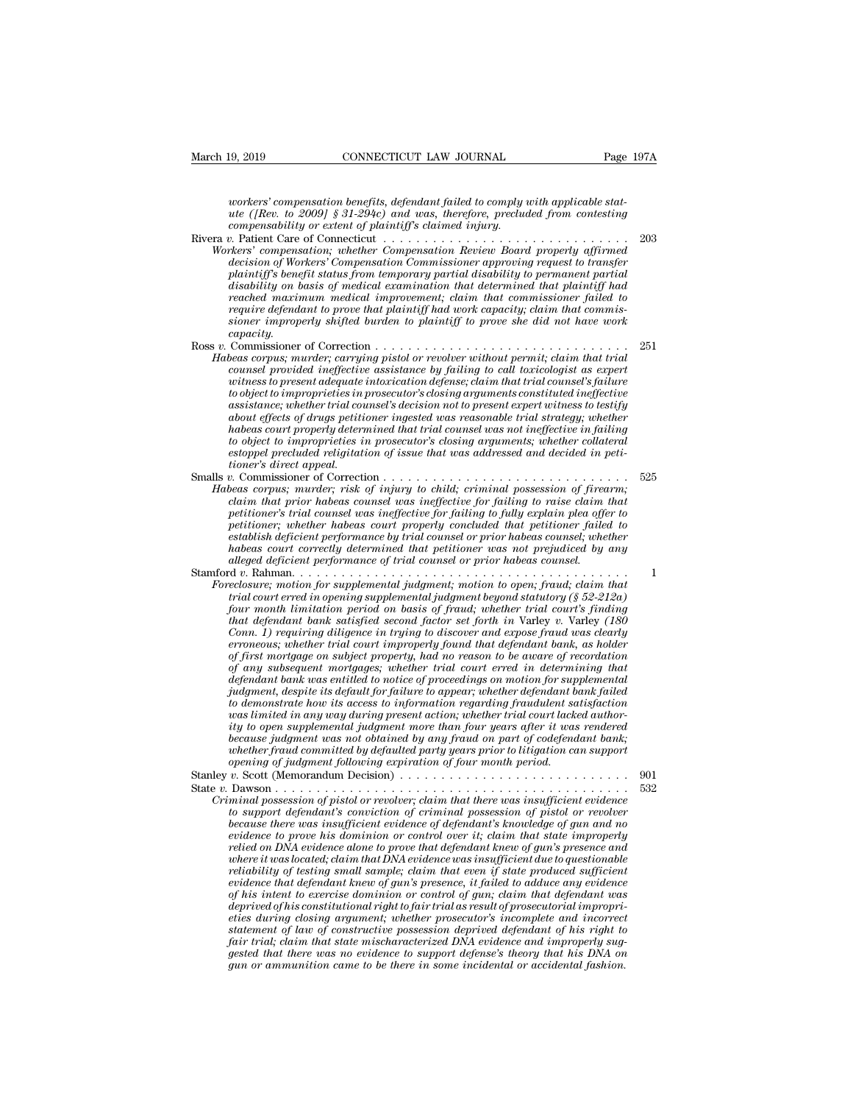*workers' compensation benefits, defendant failed to comply with applicable stat-*<br> *workers' compensation benefits, defendant failed to comply with applicable stat-*<br> *were (Rev. to 2009)* § 31-294c) and was, therefore, p <sup>19, 2019 *CONNECTICUT LAW JOURNAL* Page 197A<br> *uorkers' compensation benefits, defendant failed to comply with applicable stat-*<br> *ute ([Rev. to 2009] § 31-294c) and was, therefore, precluded from contesting*<br> *compensa</sup> compensability or extent of plaintiff's claimed injury.* March 19, 2019 CONNECTICUT LAW JOURNAL Page 197A<br>
workers' compensation benefits, defendant failed to comply with applicable stat-<br>
ute ([Rev. to 2009] § 31-294c) and was, therefore, precluded from contesting<br>
compensabili

*Workers' compensation benefits, defendant failed to comply with applicable stat-*<br>*Workers' compensability or extent of plaintiff's claimed injury.*<br>
The value of Connecticut and properly affirmed in the value of Workers' *decision of Workers' compensation benefits, defendant failed to comply with applicable statute ([Rev. to 2009] § 31-294c) and was, therefore, precluded from contesting compensability or extent of plaintiff's claimed injur playstom temporation benefits, defendant failed to comply with applicable statute ([Rev. to 2009] § 31-294c) and was, therefore, precluded from contesting compensability or extent of plaintiff's claimed injury.*<br> *p*. Pat *disability or extendant of medial superamination and was, therefore, precluded from contesting*<br> *discompensability or extent of plaintiff's claimed injerg.*<br> *discompensation of Workers' Compensation Commissioner approvi reached maximum medical improvement; claim that commissioner failed to require defendant to prove that plaintiff had work capacity; claim that commissioner improperation; whether Connecticuter interimal property affirmed*<br>*sincers' compensation; whether Compensation Review Board properly affirmed*<br>*decision of Workers' Compensation Commissioner approving request to tr capacity.* accision of workers Compensation Commissioner approving request to transfer<br>plaintiff's benefit status from temporary partial disability to permanent partial<br>disability on basis of medical examination that determined that plantity s benefit status from temporary partial assability to permanent partial<br>disability on basis of medical examination that determined that plaintiff had<br>reached maximum medical improvement; claim that commissioner fa assaoutry on oasts of meatcal examination that aetermined that plantify had<br>reached maximum medicial improvement; claim that commissioner failed to<br>require defendant to prove that plaintiff had work capacity; claim that co

- *reached maximum medical improvement; ciarm indi commissioner jailed to*<br>require defendant to prove that plaintiff had work capacity; claim that commis-<br>sioner improperly shifted burden to plaintiff to prove she did not ha *to operation in the prove that plannty had work capacity; claim that commissioner improperly shifted burden to plaintiff to prove she did not have work capacity.*<br> *to apacity,*<br> *to monissioner of Correction ............ assistance; whether trial counsel's decision not to present expert witness to testify about effects of drugs petitioner ingested was reasonable trial strategy; whether habeas court properly determined that trial counsel was not ineffective in failing beas corpus; murder; carrying pistol or revolver without permit; claim that trial counsel provided ineffective assistance by failing to call toxicologist as expert withoses to present adequate intoxication defense; claim counsel provided ineffective assistance by failing to call toxicologist as expert witness to present adequate intoxication defense; claim that trial counsel's failure to object to improprieties in prosecutor's closing arg to object to improprieties in a*<br>assistance; whether trial consideration<br>about effects of drugs petitical<br>about effects of drugs petiti<br>habeas court properlies is<br>estoppel precluded religitationer's direct appeal.<br>beas co *vougect to improprieties in prosecutor s cussing arguments constituted ineglective*<br>assistance; whether trial counsel's decision not to present expert witness to testify<br>about effects of drugs petitioner ingested was reas assistance; whether trial counset's aectsion not to present expert witness to testify<br>about effects of drugs petitioner ingested was reasonable trial strategy; whether<br>habeas court properly determined that trial counsel wa *chabeas court properly determined that trial counsel was neasonable trial strategy; whether habeas court properly determined that trial counsel was not ineffective in failing to object to improprieties in prosecutor's clo*
- *phobeas court property aetermined that trial counsel was not ineffective in jailing to object to improprieties in prosecutor's closing arguments; whether collateral estoppel precluded religitation of issue that was addres petitioner; whereas in prosecutors cosing arguments; whether couateral*<br>*petitipel precluded religitation of issue that was addressed and decided in peti-<br>tioner's direct appeal.*<br>*p.* Commissioner of Correction . . . . . *establish deficient performance by trial counsel or prior habeas counsel; whether habeas corpussioner of Correction*<br> *heas corpus; murder, risk of injury to child; criminal possession of firearm;*<br> *heas corpus; murder, risk of injury to child; criminal possession of firearm;*<br> *claim that prior habea alleged deficient performance of trial counsel or prior habeas counsel.* rabeas corpus; martuer; risk of rightry to child, criminal possession of frearm,<br>claim that petitioner's trial counsel was ineffective for failing to raise claim that<br>petitioner's trial counsel was ineffective for failing *Petitioner's trial counsel was ineffective for failing to fully explain plea offer to*<br>*Petitioner; whether habeas count properly concluded that petitioner failed to*<br>*establish deficient performance by trial counsel or p*

*trial courters in the trial courter habeas court property concluded that petitioner; whether habeas courter habeas courter property concluded that petitioner failed to establish deficient performance by trial counsel or p fourient monetally trial courting the montential in the courtine fractablish deficient performance by trial coursel or prior habeas courtient performance by trail courted by any alleged deficient performance of trial coun that defendant performance by trial counsel or prior nabeas counsel; whether*<br> *thabeas court correctly determined that petitioner was not prejudiced by any*<br> *alleged deficient performance of trial coursel*  $\alpha$  *v.* Rah *Conn. 1) requiring diligence in trying to discover and expose fraud was clearly that defendant bank satisfied second factor set forth in Varley v. Varley (180* Conn. 1) requiring diligence in trying to discover and expose fraud was clearly erroneous; whether trial court improperly found that defendan *of first mortgage on subject property, had no reason to be aware of recordation celosure; motion for supplemental judgment; motion to open; fraud; claim that* trial court erred in opening supplemental judgment beyond statutory (§ 52-212a) four month limitation period on basis of fraud; whether trial *defendant bank was entitled to notice of proceeding to the defendant bayout month limitation period on basis of fraud; whether trial court's finding Conn. 1) requiring diligence in trying to discover and expose fraud was jour month limitation period on basis of fraud; whether trial court's finding that defendant bank satisfied second factor set forth in Varley v. Varley (180 Come. 1) requiring diligence in trying to discover and expose fr that defendant bank satisfied second factor set forth in Variey v. Variey (180*<br>Conn. 1) requiring diligence in trying to discover and expose fraud was clearly<br>erroneous; whether trial court improperly found that defendan *Conn. 1) requiring diligence in trying to discover and expose fraud was clearly erroneous; whether trial court improperly found that defendant bank, as holder of first mortgage on subject properly, had no reason to be awa erroneous; whether trual court improperty found that defendant bank, as holder* of first mortgage on subject property, had no reason to be aware of recordation of any subsequent mortgages; whether trial court erred in det *because furst mortgage on subject property, had no reason to be aware of recordation* of any subsequent mortgages; whether trial court erred in determining that defendant bank was entitled to notice of proceedings on moti *defendant bank was entitled to notice of proceedings on motion for supplemental judgment, despite its default for failure to appear; whether defendant bank failed to demonstrate how its access to information regarding fra yuagment, asspue us aegaut for fauture to appear; whether aegendam bank faute to demostrate how its access to information regarding fraudulent satisfaction was limited in any way during present action; whether trial court* State *v.* Dawson . . . . . . . . . . . . . . . . . . . . . . . . . . . . . . . . . . . . . . . . . . . <sup>532</sup> *Criminal that there was interesting threshold, whether true califormic interest is to open supplemental judgment more than four years after it was rendered because judgment was not obtained by any fraud on part of codefen* 

*to superally and parameta taxague in the cataly our years of codefendant bank;*<br>because judgment was not obtained by any fraud on part of codefendant bank;<br>whether fraud committed by defaulted party years prior to litigat *because juagment was ino dominated by defaulted party years prior to litigation can support opening of judgment following expiration of four month prior of defaulted*  $v$ *.* Scott (Memorandum Decision)  $\ldots$   $\ldots$   $\ldots$   $\ld$ *evidence fruid committed of degrading expiration of four month period.*<br> *evening of judgment following expiration of four month period.*<br> *evidence to support defendant's conviction of criminal possession of pistol or re relied on DNA evidence alone to prove that defendant is expected on the proven that there was insufficient evidence* to support defendant's conviction of criminal possession of pistol or revolver because there was insuffi *w.* Scott (Memorandum Dectsion)<br> *w.* Source it was located; claim that there was insufficient evidence<br> *where it was locatedinal possession of pistol or revolver*<br> *because there was insufficient evidence of defendant's reliability of testing small sample; claim that even if state produced sufficient minal possession of pistol or revolver; claim that there was insufficient evidence*<br>to support defendant's conviction of criminal possession of pistol or revolver<br>because there was insufficient evidence of defendant's kno *to support defendant's conviction of criminal possession of pistol or revolver*<br>because there was insufficient evidence of defendant's knowledge of gun and no<br>evidence to prove his dominion or control over it; claim that *decause there was insufficient evidence of defendants knowledge of gun and no*<br>evidence to prove his dominion or control over it; claim that state improperly<br>relied on DNA evidence alone to prove that defendant knew of gu *evidence to prove has dominion or control over it; claim that state improperty*<br>relied on DNA evidence alone to prove that defendant knew of gun's presence and<br>where it was located; claim that DNA evidence was insufficien *relied on DNA evidence alone to prove that defendant knew of gun's presence and where it was located; claim that DNA evidence was insufficient due to questionable reliability of testing small sample; claim that even if st fair triality of testing small sample; claim that even if state produced sufficient*<br>reliability of testing small sample; claim that even if state produced sufficient<br>evidence that defendant knew of gan's presence, it fai *rehability of testing small sample; claim that even if state produced sufficient*<br>evidence that defendant knew of gun's presence, it failed to adduce any evidence<br>of his intent to exercise dominion or control of gun; clai *gundence that defendant knew of gun's presence, it failed to adduce any evidence of his intent to exercise dominion or control of gun; claim that defendant was deprived of his constitutional right to fair trial as result* 

*Stanley v. Scott (Memorandum Decision) .....................*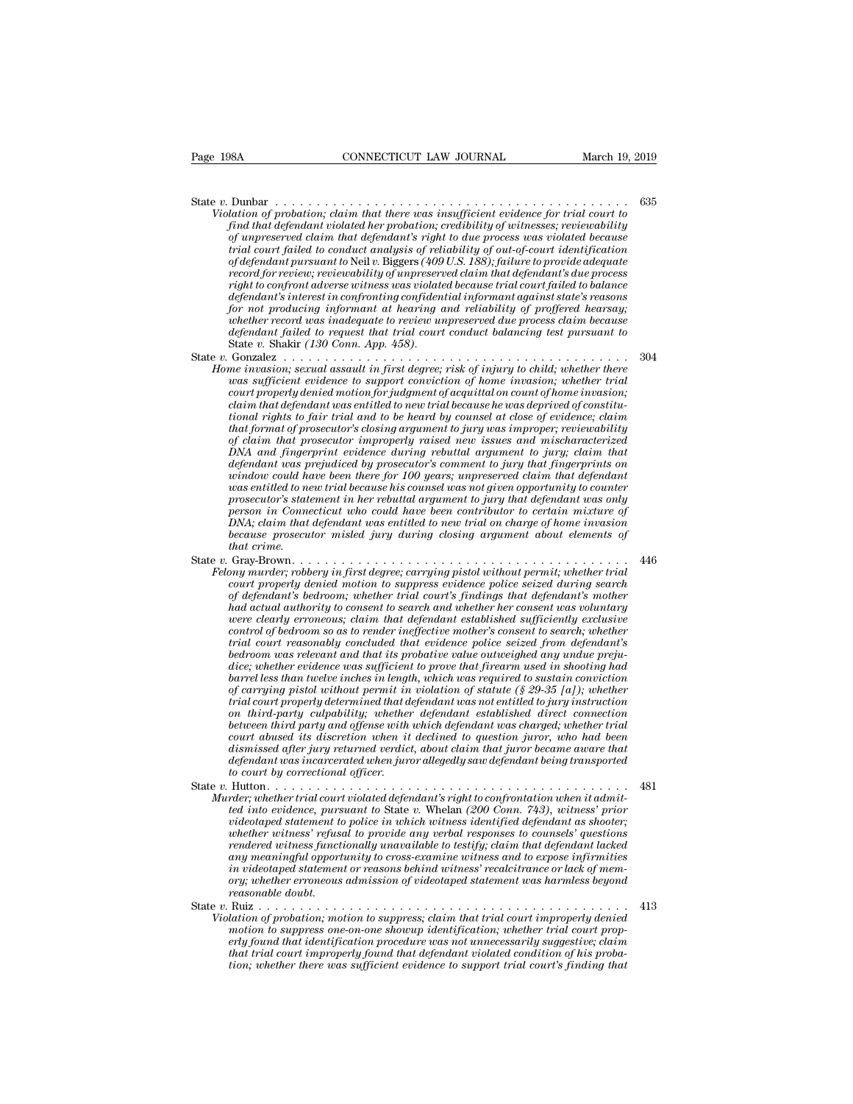State *<sup>v</sup>*. Dunbar . . . . . . . . . . . . . . . . . . . . . . . . . . . . . . . . . . . . . . . . . . . <sup>635</sup> *Violation of probation; claim that there was insufficient evidence for trial court to*<br>*Find that defendant violated her probation; credibility of witnesses; reviewability*<br>*of unpreserved claim that defendant's right to* **find that defendant violated her probation;** can define that defendant violation of probation; claim that there was insufficient evidence for trial court to find that defendant violated her probation; credibility of witne *CONNECTICUT LAW JOURNAL*<br>
Dunbar<br>
Dunbar<br>
Dunbar<br> *of probation*; *claim that there was insufficient evidence for trial court to*<br> *find that defendant violated her probation*; *credibility of witnesses; reviewability*<br> *trial court failed to conduct analysis of reliability of out-of-court identification of defendant pursuant to* Neil*v.* Biggers *(409 U.S. 188); failure to provide adequate record for review; reviewability of unpreserved claim that defendant's due process* Dunbar<br> *lation of probation; claim that there was insufficient evidence for trial court to*<br> *find that defendant violated her probation; credibility of witnesses; reviewability*<br> *fof unpreserved claim that defendant's r dation of probation; claim that there was insufficient evidence for trial court to* find that defendant violated her probation; credibility of witnesses; reviewability of wirespersed claim that defendant's right to due pr *frad that defendant volated her probation; credibility of witnesses; reviewability of unpreserved claim that defendant's right to due process was violated because trial courd failed to conduct analysis of reliability of a whereserved claim that defendant's right to due process was violated because* trial court failed to conduct analysis of reliability of out-of-court identification of defendant pursuant to Neil v. Biggers (409 U.S. 188 *defendant pursuant to Neil v. Biggers (409 U.S. 188); failure to provide adequate* of defendant pursuant to Neil v. Biggers (409 U.S. 188); failure to provide adequate record for review, reviewability of unreserved claim of defendant pursuant to Nell v. Biggers (409<br>record for review, reviewability of unpreserve<br>*right to confront adverse witness was violate*<br>defendant's interest in confronting confiden<br>for not producing informant at heari record for review, reviewability by unpreserved cleans turn that defendant salue process<br>right to confront adverse witness was violated because trial count failed to balance<br>defendant's interest in confronting confidential *Home invasion; sexual assault in first degree; risk of injury to child; whether record profileral informant agents tate's reasons for not producing informant at hearing and reliability of proffered hearsay; whether record we jendam's interest in confronting confidential informant against state s reasons*<br>for not producing informant at hearing and reliability of proffered hearsay;<br>whether record was inadequate to review unpreserved due proc

*court producting informant at nearring and retiantity of profiere record was indequate to review unpreserved due process claim because defendant failed to request that trial court conduct balancing test pursuant to State constitution failed to reduce that trial court conduct balancing test pursuant to defendant failed to request that trial court conduct balancing test pursuant to State v. Shakir (130 Const. App. 458).*<br> *Conzalez ........ tional rights to fair trial and to be heard by counsel at close of evidence; claim that format of prosecutor's closing argument to jury was improper; reviewability of claim that prosecutor improperly raised new issues and mischaracterized Maximary DETA and assault in prist degree; risk of injury to child; whether there* was sufficient evidence to support conviction of home invasion; whether trial count properly denied motion for judgment of acquital ion *definition to the matter of the support conviction of home invasion; whether trial*<br>court properly denied motion for judgment of acquittal on count of home invasion;<br>claim that defendant was entitled to new trial because *would properly denied motion for judgment of acquittal on count of home invasion;*<br>claim that defendant was entitled to new trial because he was deprived of constitu-<br>tional rights to fair trial and to be heard by counsel *was entitled to new trial because he was deprived of constitutional rights to fair trial and to be heard by counsel at close of evidence; claim that format of prosecutor's closing argument to jury was improper; reviewabil promal rights to jain trial and to be heard by counsel at close of evidence; claim*<br>*that format of prosecutor's closing argument to jury was improper; reviewability*<br> $p$  *prosecutorially and fingerprint evidence during r person in that prosecutor's closing argument to jury was improper; reviewability* of claim that prosecutor improperly raised new issues and mischaracterized DNA and fingerprint evidence during rebuttal argument to jury; c *Of claim that prosecutor improperty raised new issues and mischaracterized* DNA and fingerprint evidence during rebuttal argument to jury; claim that defendant was prejudiced by prosecutor's comment to jury that fingerpri DNA and jnngerprint evidence during rebuttal argument to jury; claim that defendant was prejudiced by prosecutor's comment to jury that fingerprints on window could have been there for 100 years; unpreserved claim that def *defendant was p*<br>*window could have sentitled to near*<br>*prosecutor's state<br>prosecutor's state*<br>*DNA; claim that*<br>*decause prosecuthat crime.*<br>*Gray-Brown...*<br>*Gray-Brown...*... Find that we been there you bound that the second that the same of the prosecutor's statement in her rebuttal argument to jury that defendant was only person in Connecticut who could have been contributor to certain mixtur *Felony mirder; robbery in first degree; carrying pistol with defendant was only person in Connection where the rebuttal argument to jury that defendant was entitled to new trial on charge of home invasion because prosecut court is suchward in her rebuild argument to jary that defendant was only*<br>presson in Connecticat who could have been contributor to certain mixture of<br>DNA; claim that defendant was entitled to new trial on charge of home

*Person in Connecticut who could have been contributor to certain mixture by*<br> *DEA:* claim that defendant was entitled to new trial on charge of home invasion<br> *because prosecutor misled jury during closing argument about had actual authority in first degree conserved to new truth on charge of home invasion because prosecutor misled jury during closing argument about elements of that crime.*<br> *Gray-Brown* . . . . . . . . . . . . . . . . . *wecause prosecutor misted jary during cosing argument doout etements of* that crime.<br> *Gray-Brown*.<br> *were claim that degree, carrying pistol without permit, whether trial*<br> *court properly denied motion to suppress evide compared to render*  $\alpha$  as the control of the mother in the control or any murder; robbery in first degree; carrying pistol without permit; whether trial count properly denied motion to suppress evidence police seized du *trial court reasonably concluded that evidence police seized from defendant's bedroom, whether trial court's findings that defendant's mother had actual authority to consent to search and whether her consent was voluntary were clearly erroneous; claim that defendant established sufficiently exclusi court property denied motion to suppress evidence police seized during search* of defendant's bedroom; whether trial court's findings that defendant's mother had actual authority to consent to search and whether her conse of defendant's bedroom; whether trial court's findings that defendant's mother<br>had actual authority to consent to search and whether her consent was voluntary<br>were clearly erroneous; claim that defendant established suffic *had actual authority to consent to search and whether her consent was voluntary*<br>were clearly erroneous; claim that defendant established sufficiently exclusive<br>control of bedroom so as to render ineffective mother's cons *twere clearly erroneous; clarm that defendant established sufficently exclusive*<br>control of bedroom so as to render ineffective mother's consent to search; whether<br>trial court reasonably concluded that evidence police sei *control of bedroom so as to render ineffective mother's consent to search; whether* trial court reasonably concluded that evidence police seized from defendant's bedroom was relevant and that its probative value outweighe *bedroom was relevant and that is probative value of poince seized from defendant's*<br>bedroom was relevant and that its probative value outweighed any undue prejudice; whether evidence was sufficient to prove that firearm u *com was relevant and that its probative value outweighed any undue prepudice; whether evidence was sufficient to prove that firearm used in shooting had barrel less than twelve inches in length, which was required to sust dice; whether evidence was sufficient to prove that firearm used in shooting had*<br>barrel less than twelve inches in length, which was required to sustain conviction<br>of carrying pistol without permit in violation of statut *defendant was increases in length, which was required to sustain conviction* of carrying pistol without permit in violation of statute (§ 29-35 [a]); whether trial court properly determined that defendant was not entitled *to corrying pistol without permit in*<br> *trial court properly determined that down third-party culpability; whether<br>
between third party and offense with<br>
court abused its discretion when it<br>
dismissed after jury returned* on third property accurated unta-genuate was not entitied by the state of the defendant control on third-party culpability; whether defendant vas charged; whether trial court dowsed its discretion when it declined to quest *Murder third party calpability; whether defendant established direct connection*<br> *Murder trial party and offerse with which defendant was charged; whether trial<br>
dismissed after jury returned verdict, about claim that ju tectween turn party and offerse with which defendant was charged, whether trial dismissed after jury returned verdict, about claim that juror became aware that defendant was incarcerated when juror allegedly saw defendant* 

- *videotaped statement when a decuried to question juror, who had been dismissed after jury returned verdict, about claim that juror became aware that defendant was incarcerated when juror allegedly saw defendant being tran wismissed after jarry returned verdict, about clurm that jarror became aware that*  $\deg$  *fradant vas incarcerated when jarror allegedly saw defendant being transported to court by correctional officer.*<br>Hutton . . . . . . . *rendered by correctional officer.*<br> *rendered without the correctional officer.*<br> *render, whether trial court violated defendant's right to confrontation when it admitted into evidence, pursuant to State v. Whelan (200 C any meaningful opportunity to cross-examine witness and to expose infirmities in videotaped statement or reasons behind witness' recalcitrance or lack of memrder; whether trual court violated defendant's right to confrontation when it admitted into evidence, pursuant to State v. Whelan (200 Com. 743), witness' prior videotaped statement to police in which witness identified d read into evidence, pursuant to State v. Whelan (200 Conn. 743), witness' prior*<br>*videotaped statement to police in which witness identified defendant as shooter;*<br>*whether witness' refusal to provide any verbal responses State of members statement to pointe in which which similar defendant is shower,*<br>whether winters' refusal to provide any verbal responses to counsels' questions<br>rendered witness functionally unavailable to testify; claim *Violation of probationally unavailable to testify; claim that defendant lacked* any meaningful opportunity to cross-examine witness and to expose infirmities in videotaped statement or reasons behind witness' recalcitranc
- any meaningful opportunity to cross-examine witness and to expose infirmities<br>in videotaped statement or reasons behind witness' recalcitrance or lack of mem-<br>ory; whether erroneous admission of videotaped statement was ha *erly finalization provident to reasons behind witness and to expose infirmation videotaped statement was harmless beyond*<br>*erasonable doubt.*<br>**Finalization complexistive;** claim that trial court improperly denied<br>reasonab *that trial court improperly denission of videotaped statement was harmless beyond*<br> *reasonable doubt.*<br> *Ruiz*<br> *kuidation of probation, motion to suppress, claim that trial court improperly denied<br>
motion to suppress on Violation of probation; motion to suppress; claim that trial court improperly denied*